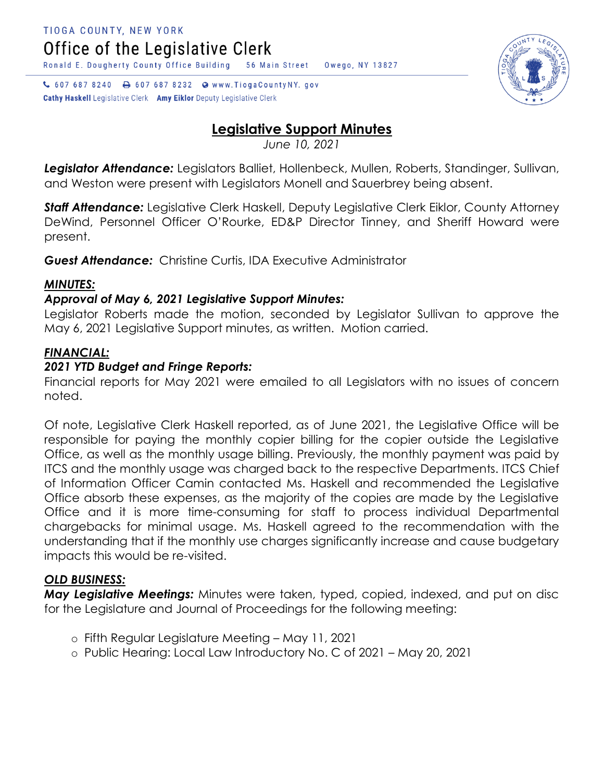Ronald E. Dougherty County Office Building

↓ 607 687 8240 → 607 687 8232 ● www.TiogaCountyNY.gov

**Cathy Haskell** Legislative Clerk Amy Eiklor Deputy Legislative Clerk

# **Legislative Support Minutes**

Owego, NY 13827

56 Main Street

*June 10, 2021*

*Legislator Attendance:* Legislators Balliet, Hollenbeck, Mullen, Roberts, Standinger, Sullivan, and Weston were present with Legislators Monell and Sauerbrey being absent.

*Staff Attendance:* Legislative Clerk Haskell, Deputy Legislative Clerk Eiklor, County Attorney DeWind, Personnel Officer O'Rourke, ED&P Director Tinney, and Sheriff Howard were present.

*Guest Attendance:* Christine Curtis, IDA Executive Administrator

# *MINUTES:*

# *Approval of May 6, 2021 Legislative Support Minutes:*

Legislator Roberts made the motion, seconded by Legislator Sullivan to approve the May 6, 2021 Legislative Support minutes, as written. Motion carried.

# *FINANCIAL:*

#### *2021 YTD Budget and Fringe Reports:*

Financial reports for May 2021 were emailed to all Legislators with no issues of concern noted.

Of note, Legislative Clerk Haskell reported, as of June 2021, the Legislative Office will be responsible for paying the monthly copier billing for the copier outside the Legislative Office, as well as the monthly usage billing. Previously, the monthly payment was paid by ITCS and the monthly usage was charged back to the respective Departments. ITCS Chief of Information Officer Camin contacted Ms. Haskell and recommended the Legislative Office absorb these expenses, as the majority of the copies are made by the Legislative Office and it is more time-consuming for staff to process individual Departmental chargebacks for minimal usage. Ms. Haskell agreed to the recommendation with the understanding that if the monthly use charges significantly increase and cause budgetary impacts this would be re-visited.

# *OLD BUSINESS:*

*May Legislative Meetings:* Minutes were taken, typed, copied, indexed, and put on disc for the Legislature and Journal of Proceedings for the following meeting:

- o Fifth Regular Legislature Meeting May 11, 2021
- o Public Hearing: Local Law Introductory No. C of 2021 May 20, 2021

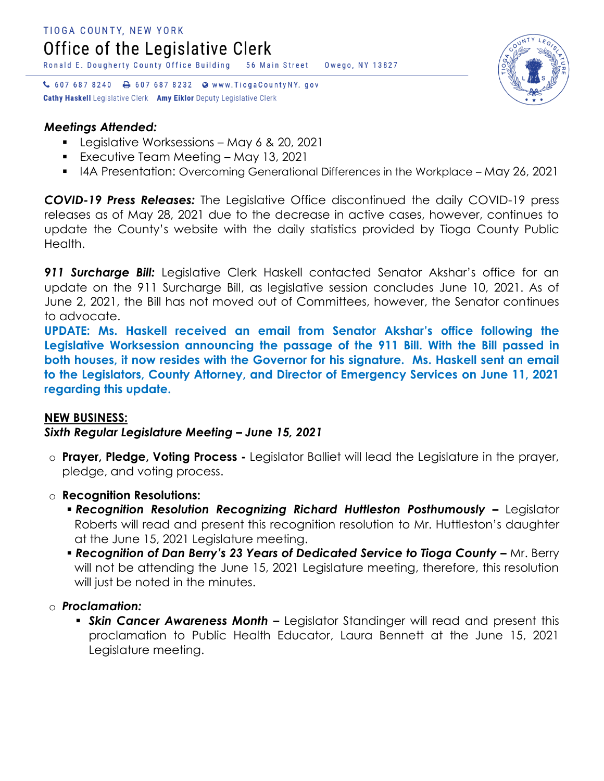↓ 607 687 8240 → 607 687 8232 ● www.TiogaCountyNY.gov Cathy Haskell Legislative Clerk Amy Eiklor Deputy Legislative Clerk

#### *Meetings Attended:*

- **Legislative Worksessions May 6 & 20, 2021**
- Executive Team Meeting May 13, 2021
- I4A Presentation: Overcoming Generational Differences in the Workplace May 26, 2021

*COVID-19 Press Releases:* The Legislative Office discontinued the daily COVID-19 press releases as of May 28, 2021 due to the decrease in active cases, however, continues to update the County's website with the daily statistics provided by Tioga County Public Health.

**911 Surcharge Bill:** Legislative Clerk Haskell contacted Senator Akshar's office for an update on the 911 Surcharge Bill, as legislative session concludes June 10, 2021. As of June 2, 2021, the Bill has not moved out of Committees, however, the Senator continues to advocate.

**UPDATE: Ms. Haskell received an email from Senator Akshar's office following the Legislative Worksession announcing the passage of the 911 Bill. With the Bill passed in both houses, it now resides with the Governor for his signature. Ms. Haskell sent an email to the Legislators, County Attorney, and Director of Emergency Services on June 11, 2021 regarding this update.** 

#### **NEW BUSINESS:**

*Sixth Regular Legislature Meeting – June 15, 2021*

- o **Prayer, Pledge, Voting Process -** Legislator Balliet will lead the Legislature in the prayer, pledge, and voting process.
- o **Recognition Resolutions:**
	- **Recognition Resolution Recognizing Richard Huttleston Posthumously Legislator** Roberts will read and present this recognition resolution to Mr. Huttleston's daughter at the June 15, 2021 Legislature meeting.
	- **Recognition of Dan Berry's 23 Years of Dedicated Service to Tioga County Mr. Berry** will not be attending the June 15, 2021 Legislature meeting, therefore, this resolution will just be noted in the minutes.

#### o *Proclamation:*

 *Skin Cancer Awareness Month –* Legislator Standinger will read and present this proclamation to Public Health Educator, Laura Bennett at the June 15, 2021 Legislature meeting.